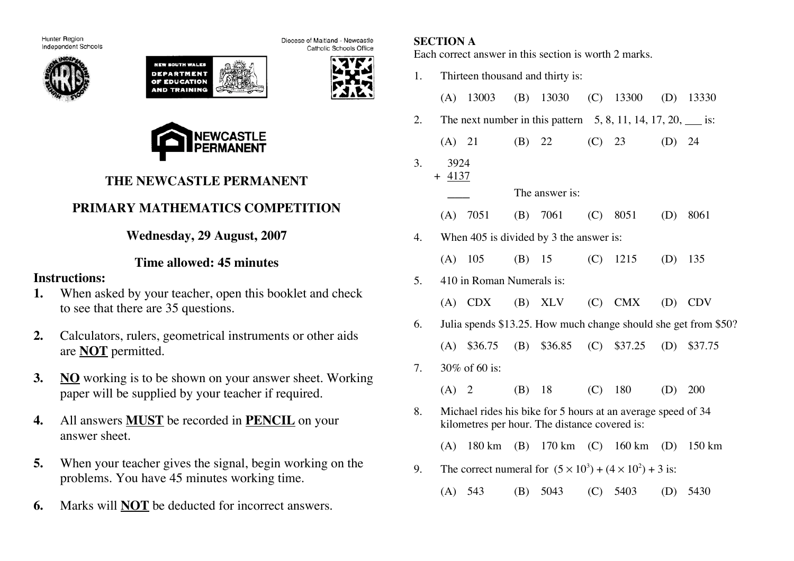Hunter Region Independent Schools







Catholic Schools Office

Diocese of Maitland - Newcastle



# **THE NEWCASTLE PERMANENT**

# **PRIMARY MATHEMATICS COMPETITION**

**Wednesday, 29 August, 2007**

## **Time allowed: 45 minutes**

### **Instructions:**

- **1.** When asked by your teacher, open this booklet and check to see that there are 35 questions.
- **2.** Calculators, rulers, geometrical instruments or other aids are **NOT** permitted.
- **3. NO** working is to be shown on your answer sheet. Working paper will be supplied by your teacher if required.
- **4.** All answers **MUST** be recorded in **PENCIL** on your answer sheet.
- **5.** When your teacher gives the signal, begin working on the problems. You have 45 minutes working time.
- **6.** Marks will **NOT** be deducted for incorrect answers.

## **SECTION A**

Each correct answer in this section is worth 2 marks.

1. Thirteen thousand and thirty is: (A) 13003 (B) 13030 (C) 13300 (D) 13330 2. The next number in this pattern  $5, 8, 11, 14, 17, 20,$  is: (A) 21 (B) 22 (C) 23 (D) 24 3. 3924 + 4137 The answer is: (A) 7051 (B) 7061 (C) 8051 (D) 8061 4. When 405 is divided by 3 the answer is: (A) 105 (B) 15 (C) 1215 (D) 135 5. 410 in Roman Numerals is: (A) CDX (B) XLV (C) CMX (D) CDV 6. Julia spends \$13.25. How much change should she get from \$50? (A) \$36.75 (B) \$36.85 (C) \$37.25 (D) \$37.75 7. 30% of 60 is: (A) 2 (B) 18 (C) 180 (D) 200 8. Michael rides his bike for 5 hours at an average speed of 34 kilometres per hour. The distance covered is: (A) 180 km (B) 170 km (C) 160 km (D) 150 km 9. The correct numeral for  $(5 \times 10^3) + (4 \times 10^2) + 3$  is: (A) 543 (B) 5043 (C) 5403 (D) 5430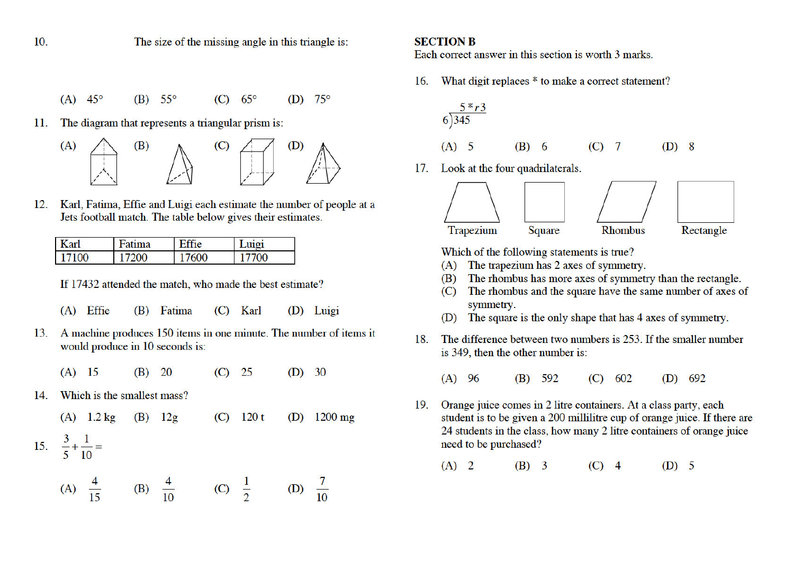$10.$ 

The size of the missing angle in this triangle is:

- $(B)$  55°  $(C)$  65°  $(A)$  45°  $(D)$  75°
- The diagram that represents a triangular prism is: 11.



Karl, Fatima, Effie and Luigi each estimate the number of people at a 12. Jets football match. The table below gives their estimates.

| ar <sup>1</sup>      | ma | n cc<br>10 | 11101 |
|----------------------|----|------------|-------|
| 7100<br>$\mathbf{1}$ |    | $\Omega$   | 700   |

If 17432 attended the match, who made the best estimate?

- (A) Effie (B) Fatima  $(C)$  Karl (D) Luigi
- A machine produces 150 items in one minute. The number of items it 13. would produce in 10 seconds is:
	- 20  $(D)$  30  $(A)$  15  $(B)$  $(C)$ 25
- Which is the smallest mass?  $14.$

 $(A)$  1.2 kg  $120t$  $1200$  mg  $(B)$  12g  $(C)$  $(D)$  $rac{3}{5} + \frac{1}{10} =$ 15.

(A) 
$$
\frac{4}{15}
$$
 (B)  $\frac{4}{10}$  (C)  $\frac{1}{2}$  (D)  $\frac{7}{10}$ 

#### **SECTION B**

Each correct answer in this section is worth 3 marks.

16. What digit replaces \* to make a correct statement?

$$
\frac{5 * r3}{6} \text{ (A)} \quad 5 \qquad \text{(B)} \quad 6 \qquad \text{(C)} \quad 7 \qquad \text{(D)} \quad 8
$$

17. Look at the four quadrilaterals.



Which of the following statements is true?

- The trapezium has 2 axes of symmetry. (A)
- The rhombus has more axes of symmetry than the rectangle. (B)
- The rhombus and the square have the same number of axes of  $(C)$ symmetry.
- (D) The square is the only shape that has 4 axes of symmetry.
- The difference between two numbers is 253. If the smaller number 18 is 349, then the other number is:
	- $(A)$  96  $(B)$  592  $(C) 602$  $(D)$  692
- Orange juice comes in 2 litre containers. At a class party, each 19. student is to be given a 200 millilitre cup of orange juice. If there are 24 students in the class, how many 2 litre containers of orange juice need to be purchased?

 $(A)$  2  $(B)$  3  $(C)$  4  $(D)$  5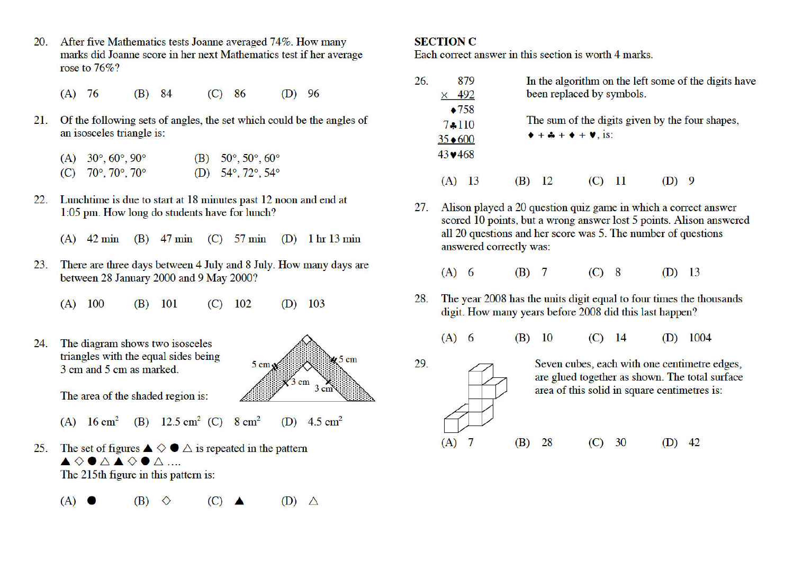- 20. After five Mathematics tests Joanne averaged 74%. How many marks did Joanne score in her next Mathematics test if her average rose to  $76\%$ ?
	- $(A)$  76  $(C)$  86  $(D)$  96  $(B)$  84
- $21.$ Of the following sets of angles, the set which could be the angles of an isosceles triangle is:

| (A) $30^{\circ}, 60^{\circ}, 90^{\circ}$ | (B) $50^{\circ}, 50^{\circ}, 60^{\circ}$ |
|------------------------------------------|------------------------------------------|
| (C) $70^{\circ}, 70^{\circ}, 70^{\circ}$ | (D) $54^{\circ}, 72^{\circ}, 54^{\circ}$ |

- Lunchtime is due to start at 18 minutes past 12 noon and end at  $22.$ 1:05 pm. How long do students have for lunch?
	- (A)  $42 \text{ min}$  (B)  $47 \text{ min}$  (C)  $57 \text{ min}$  (D)  $1 \text{ hr} 13 \text{ min}$
- 23. There are three days between 4 July and 8 July. How many days are between 28 January 2000 and 9 May 2000?
	- $(B)$  101  $(C)$  102  $(D)$  103  $(A)$  100
- $24^{1}$ The diagram shows two isosceles triangles with the equal sides being 3 cm and 5 cm as marked.



- The area of the shaded region is:
- (A)  $16 \text{ cm}^2$  (B)  $12.5 \text{ cm}^2$  (C)  $8 \text{ cm}^2$ (D)  $4.5 \text{ cm}^2$
- 25. The set of figures  $\blacktriangle \diamond \blacklozenge \triangle$  is repeated in the pattern  $\begin{picture}(160,170)(-0.0,0){\line(1,0){100}} \put(10,0){\line(1,0){100}} \put(10,0){\line(1,0){100}} \put(10,0){\line(1,0){100}} \put(10,0){\line(1,0){100}} \put(10,0){\line(1,0){100}} \put(10,0){\line(1,0){100}} \put(10,0){\line(1,0){100}} \put(10,0){\line(1,0){100}} \put(10,0){\line(1,0){100}} \put(10,0){\line(1,0){100$ The 215th figure in this pattern is:
	- $(A)$   $\bullet$  $(B)$   $\Diamond$  $(C)$  $(D)$   $\wedge$

#### **SECTION C**

29.

 $(A)$  7

Each correct answer in this section is worth 4 marks.

| 26. |                 | 879             |     |                                                             |  | In the algorithm on the left some of the digits have |
|-----|-----------------|-----------------|-----|-------------------------------------------------------------|--|------------------------------------------------------|
|     |                 | 492             |     | been replaced by symbols.                                   |  |                                                      |
|     |                 | $\triangle 758$ |     |                                                             |  | The sum of the digits given by the four shapes,      |
|     | $7*110$         |                 |     |                                                             |  |                                                      |
|     | $35*600$        |                 |     | $\bullet + \clubsuit + \bullet + \blacktriangleright$ , is: |  |                                                      |
|     | $43 \times 468$ |                 |     |                                                             |  |                                                      |
|     |                 |                 | (R) |                                                             |  |                                                      |

- Alison played a 20 question quiz game in which a correct answer  $27$ scored 10 points, but a wrong answer lost 5 points. Alison answered all 20 questions and her score was 5. The number of questions answered correctly was:
	- $(A)$  6  $(B)$  7  $(C)$  8  $(D)$  13
- The year 2008 has the units digit equal to four times the thousands 28. digit. How many years before 2008 did this last happen?
	- $(A)$  6  $(B)$  10  $(D)$  1004  $(C)$  14
		- Seven cubes, each with one centimetre edges, are glued together as shown. The total surface area of this solid in square centimetres is:

 $(B)$  28  $(C)$  30  $(D)$  42